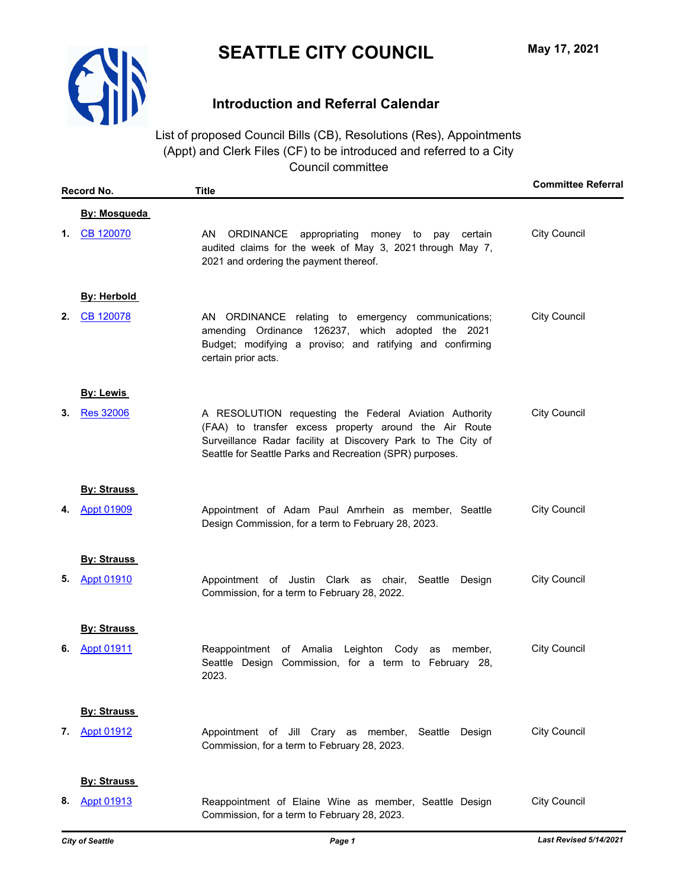

# **Introduction and Referral Calendar**

List of proposed Council Bills (CB), Resolutions (Res), Appointments (Appt) and Clerk Files (CF) to be introduced and referred to a City Council committee

|    | Record No.          | <b>Title</b>                                                                                                                                                                                                                                 | <b>Committee Referral</b> |
|----|---------------------|----------------------------------------------------------------------------------------------------------------------------------------------------------------------------------------------------------------------------------------------|---------------------------|
|    | <b>By: Mosqueda</b> |                                                                                                                                                                                                                                              |                           |
|    | 1. CB 120070        | AN<br>ORDINANCE appropriating money to pay certain<br>audited claims for the week of May 3, 2021 through May 7,<br>2021 and ordering the payment thereof.                                                                                    | <b>City Council</b>       |
|    | <b>By: Herbold</b>  |                                                                                                                                                                                                                                              |                           |
| 2. | CB 120078           | AN ORDINANCE relating to emergency communications;<br>amending Ordinance 126237, which adopted the 2021<br>Budget; modifying a proviso; and ratifying and confirming<br>certain prior acts.                                                  | <b>City Council</b>       |
|    | By: Lewis           |                                                                                                                                                                                                                                              |                           |
| 3. | <b>Res 32006</b>    | A RESOLUTION requesting the Federal Aviation Authority<br>(FAA) to transfer excess property around the Air Route<br>Surveillance Radar facility at Discovery Park to The City of<br>Seattle for Seattle Parks and Recreation (SPR) purposes. | <b>City Council</b>       |
|    | <b>By: Strauss</b>  |                                                                                                                                                                                                                                              |                           |
| 4. | <b>Appt 01909</b>   | Appointment of Adam Paul Amrhein as member, Seattle<br>Design Commission, for a term to February 28, 2023.                                                                                                                                   | <b>City Council</b>       |
|    | <b>By: Strauss</b>  |                                                                                                                                                                                                                                              |                           |
| 5. | <b>Appt 01910</b>   | Appointment of Justin Clark as chair, Seattle Design<br>Commission, for a term to February 28, 2022.                                                                                                                                         | <b>City Council</b>       |
|    | <b>By: Strauss</b>  |                                                                                                                                                                                                                                              |                           |
| 6. | <b>Appt 01911</b>   | Reappointment of Amalia Leighton Cody as member,<br>Seattle Design Commission, for a term to February 28,<br>2023.                                                                                                                           | <b>City Council</b>       |
|    | <b>By: Strauss</b>  |                                                                                                                                                                                                                                              |                           |
| 7. | <b>Appt 01912</b>   | Appointment of Jill Crary as member, Seattle<br>Design<br>Commission, for a term to February 28, 2023.                                                                                                                                       | <b>City Council</b>       |
|    | <b>By: Strauss</b>  |                                                                                                                                                                                                                                              |                           |
| 8. | <b>Appt 01913</b>   | Reappointment of Elaine Wine as member, Seattle Design<br>Commission, for a term to February 28, 2023.                                                                                                                                       | <b>City Council</b>       |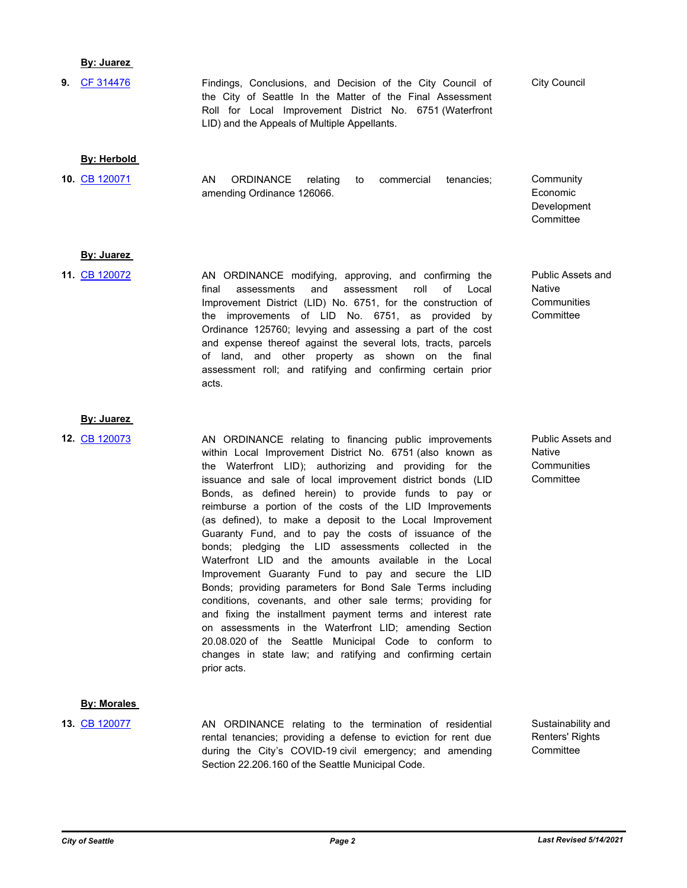# **By: Juarez**

**9.** [CF 314476](http://seattle.legistar.com/gateway.aspx?m=l&id=/matter.aspx?key=11659) **CHE CONCILL** Findings, Conclusions, and Decision of the City Council of City Council the City of Seattle In the Matter of the Final Assessment Roll for Local Improvement District No. 6751 (Waterfront LID) and the Appeals of Multiple Appellants.

## **By: Herbold**

AN ORDINANCE relating to commercial tenancies; amending Ordinance 126066. **10.** [CB 120071](http://seattle.legistar.com/gateway.aspx?m=l&id=/matter.aspx?key=11655)

## **By: Juarez**

- AN ORDINANCE modifying, approving, and confirming the final assessments and assessment roll of Local Improvement District (LID) No. 6751, for the construction of the improvements of LID No. 6751, as provided by Ordinance 125760; levying and assessing a part of the cost and expense thereof against the several lots, tracts, parcels of land, and other property as shown on the final assessment roll; and ratifying and confirming certain prior acts. **11.** [CB 120072](http://seattle.legistar.com/gateway.aspx?m=l&id=/matter.aspx?key=11665)
- Public Assets and Native **Communities Committee**

**Community** Economic Development **Committee** 

## **By: Juarez**

**12.** [CB 120073](http://seattle.legistar.com/gateway.aspx?m=l&id=/matter.aspx?key=11613)

AN ORDINANCE relating to financing public improvements within Local Improvement District No. 6751 (also known as the Waterfront LID); authorizing and providing for the issuance and sale of local improvement district bonds (LID Bonds, as defined herein) to provide funds to pay or reimburse a portion of the costs of the LID Improvements (as defined), to make a deposit to the Local Improvement Guaranty Fund, and to pay the costs of issuance of the bonds; pledging the LID assessments collected in the Waterfront LID and the amounts available in the Local Improvement Guaranty Fund to pay and secure the LID Bonds; providing parameters for Bond Sale Terms including conditions, covenants, and other sale terms; providing for and fixing the installment payment terms and interest rate on assessments in the Waterfront LID; amending Section 20.08.020 of the Seattle Municipal Code to conform to changes in state law; and ratifying and confirming certain prior acts.

# Public Assets and Native **Communities Committee**

**By: Morales** 

AN ORDINANCE relating to the termination of residential rental tenancies; providing a defense to eviction for rent due during the City's COVID-19 civil emergency; and amending Section 22.206.160 of the Seattle Municipal Code. **13.** [CB 120077](http://seattle.legistar.com/gateway.aspx?m=l&id=/matter.aspx?key=11690)

Sustainability and Renters' Rights **Committee**